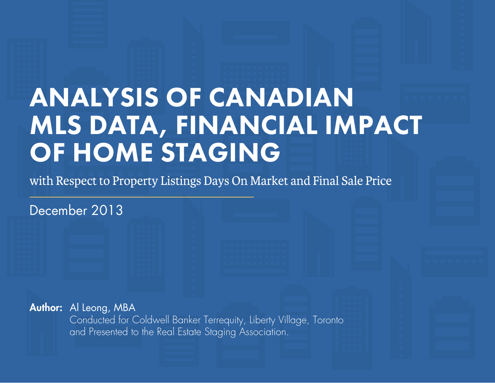# ANALYSIS OF CANADIAN MLS DATA, FINANCIAL IMPACT OF HOME STAGING

with Respect to Property Listings Days On Market and Final Sale Price

December 2013

Author: Al Leong, MBA Conducted for Coldwell Banker Terrequity, Liberty Village, Toronto and Presented to the Real Estate Staging Association.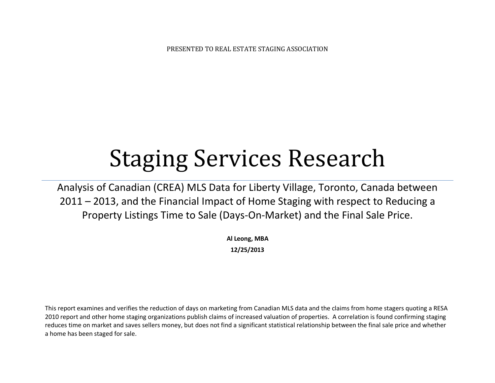PRESENTED TO REAL ESTATE STAGING ASSOCIATION

# Staging Services Research

Analysis of Canadian (CREA) MLS Data for Liberty Village, Toronto, Canada between 2011 – 2013, and the Financial Impact of Home Staging with respect to Reducing a Property Listings Time to Sale (Days-On-Market) and the Final Sale Price.

> **Al Leong, MBA 12/25/2013**

This report examines and verifies the reduction of days on marketing from Canadian MLS data and the claims from home stagers quoting a RESA 2010 report and other home staging organizations publish claims of increased valuation of properties. A correlation is found confirming staging reduces time on market and saves sellers money, but does not find a significant statistical relationship between the final sale price and whether a home has been staged for sale.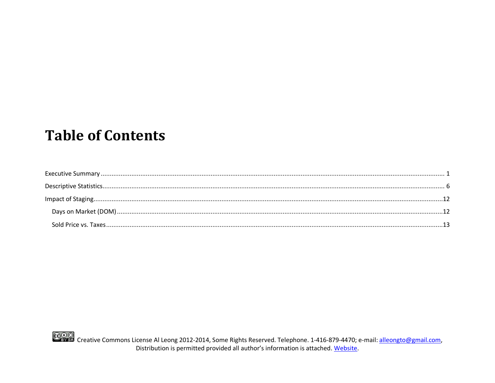# **Table of Contents**

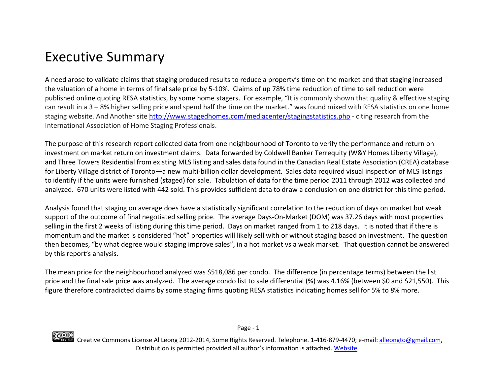## <span id="page-3-0"></span>Executive Summary

A need arose to validate claims that staging produced results to reduce a property's time on the market and that staging increased the valuation of a home in terms of final sale price by 5-10%. Claims of up 78% time reduction of time to sell reduction were published online quoting RESA statistics, by some home stagers. For example, "It is commonly shown that quality & effective staging can result in a 3 – 8% higher selling price and spend half the time on the market." was found mixed with RESA statistics on one home staging website. And Another site<http://www.stagedhomes.com/mediacenter/stagingstatistics.php> - citing research from the International Association of Home Staging Professionals.

The purpose of this research report collected data from one neighbourhood of Toronto to verify the performance and return on investment on market return on investment claims. Data forwarded by Coldwell Banker Terrequity (W&Y Homes Liberty Village), and Three Towers Residential from existing MLS listing and sales data found in the Canadian Real Estate Association (CREA) database for Liberty Village district of Toronto—a new multi-billion dollar development. Sales data required visual inspection of MLS listings to identify if the units were furnished (staged) for sale. Tabulation of data for the time period 2011 through 2012 was collected and analyzed. 670 units were listed with 442 sold. This provides sufficient data to draw a conclusion on one district for this time period.

Analysis found that staging on average does have a statistically significant correlation to the reduction of days on market but weak support of the outcome of final negotiated selling price. The average Days-On-Market (DOM) was 37.26 days with most properties selling in the first 2 weeks of listing during this time period. Days on market ranged from 1 to 218 days. It is noted that if there is momentum and the market is considered "hot" properties will likely sell with or without staging based on investment. The question then becomes, "by what degree would staging improve sales", in a hot market vs a weak market. That question cannot be answered by this report's analysis.

The mean price for the neighbourhood analyzed was \$518,086 per condo. The difference (in percentage terms) between the list price and the final sale price was analyzed. The average condo list to sale differential (%) was 4.16% (between \$0 and \$21,550). This figure therefore contradicted claims by some staging firms quoting RESA statistics indicating homes sell for 5% to 8% more.

Page - 1

CCOO<br>Creative Commons License Al Leong 2012-2014, Some Rights Reserved. Telephone. 1-416-879-4470; e-mail: <u>alleongto@gmail.com</u>, Distribution is permitted provided all author's information is attached. [Website.](http://ow.ly/s39ok)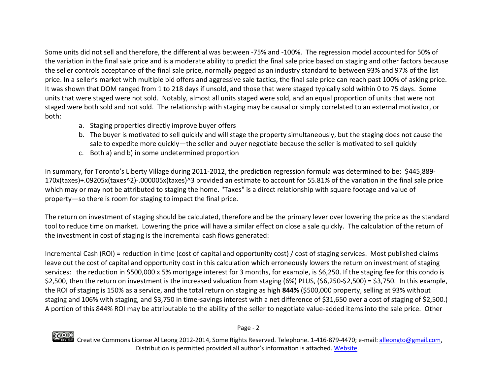Some units did not sell and therefore, the differential was between -75% and -100%. The regression model accounted for 50% of the variation in the final sale price and is a moderate ability to predict the final sale price based on staging and other factors because the seller controls acceptance of the final sale price, normally pegged as an industry standard to between 93% and 97% of the list price. In a seller's market with multiple bid offers and aggressive sale tactics, the final sale price can reach past 100% of asking price. It was shown that DOM ranged from 1 to 218 days if unsold, and those that were staged typically sold within 0 to 75 days. Some units that were staged were not sold. Notably, almost all units staged were sold, and an equal proportion of units that were not staged were both sold and not sold. The relationship with staging may be causal or simply correlated to an external motivator, or both:

- a. Staging properties directly improve buyer offers
- b. The buyer is motivated to sell quickly and will stage the property simultaneously, but the staging does not cause the sale to expedite more quickly—the seller and buyer negotiate because the seller is motivated to sell quickly
- c. Both a) and b) in some undetermined proportion

In summary, for Toronto's Liberty Village during 2011-2012, the prediction regression formula was determined to be: \$445,889- 170x(taxes)+.09205x(taxes^2)-.000005x(taxes)^3 provided an estimate to account for 55.81% of the variation in the final sale price which may or may not be attributed to staging the home. "Taxes" is a direct relationship with square footage and value of property—so there is room for staging to impact the final price.

The return on investment of staging should be calculated, therefore and be the primary lever over lowering the price as the standard tool to reduce time on market. Lowering the price will have a similar effect on close a sale quickly. The calculation of the return of the investment in cost of staging is the incremental cash flows generated:

Incremental Cash (ROI) = reduction in time (cost of capital and opportunity cost) / cost of staging services. Most published claims leave out the cost of capital and opportunity cost in this calculation which erroneously lowers the return on investment of staging services: the reduction in \$500,000 x 5% mortgage interest for 3 months, for example, is \$6,250. If the staging fee for this condo is \$2,500, then the return on investment is the increased valuation from staging (6%) PLUS, (\$6,250-\$2,500) = \$3,750. In this example, the ROI of staging is 150% as a service, and the total return on staging as high **844%** (\$500,000 property, selling at 93% without staging and 106% with staging, and \$3,750 in time-savings interest with a net difference of \$31,650 over a cost of staging of \$2,500.) A portion of this 844% ROI may be attributable to the ability of the seller to negotiate value-added items into the sale price. Other

Page - 2

COOO<br>Creative Commons License Al Leong 2012-2014, Some Rights Reserved. Telephone. 1-416-879-4470; e-mail: <u>alleongto@gmail.com</u>, Distribution is permitted provided all author's information is attached. [Website.](http://ow.ly/s39ok)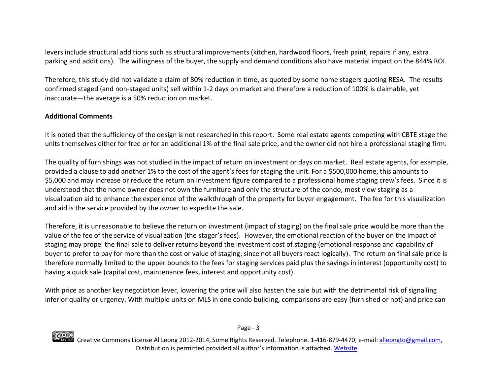levers include structural additions such as structural improvements (kitchen, hardwood floors, fresh paint, repairs if any, extra parking and additions). The willingness of the buyer, the supply and demand conditions also have material impact on the 844% ROI.

Therefore, this study did not validate a claim of 80% reduction in time, as quoted by some home stagers quoting RESA. The results confirmed staged (and non-staged units) sell within 1-2 days on market and therefore a reduction of 100% is claimable, yet inaccurate—the average is a 50% reduction on market.

### **Additional Comments**

It is noted that the sufficiency of the design is not researched in this report. Some real estate agents competing with CBTE stage the units themselves either for free or for an additional 1% of the final sale price, and the owner did not hire a professional staging firm.

The quality of furnishings was not studied in the impact of return on investment or days on market. Real estate agents, for example, provided a clause to add another 1% to the cost of the agent's fees for staging the unit. For a \$500,000 home, this amounts to \$5,000 and may increase or reduce the return on investment figure compared to a professional home staging crew's fees. Since it is understood that the home owner does not own the furniture and only the structure of the condo, most view staging as a visualization aid to enhance the experience of the walkthrough of the property for buyer engagement. The fee for this visualization and aid is the service provided by the owner to expedite the sale.

Therefore, it is unreasonable to believe the return on investment (impact of staging) on the final sale price would be more than the value of the fee of the service of visualization (the stager's fees). However, the emotional reaction of the buyer on the impact of staging may propel the final sale to deliver returns beyond the investment cost of staging (emotional response and capability of buyer to prefer to pay for more than the cost or value of staging, since not all buyers react logically). The return on final sale price is therefore normally limited to the upper bounds to the fees for staging services paid plus the savings in interest (opportunity cost) to having a quick sale (capital cost, maintenance fees, interest and opportunity cost).

With price as another key negotiation lever, lowering the price will also hasten the sale but with the detrimental risk of signalling inferior quality or urgency. With multiple units on MLS in one condo building, comparisons are easy (furnished or not) and price can

Page - 3

COOO<br>Creative Commons License Al Leong 2012-2014, Some Rights Reserved. Telephone. 1-416-879-4470; e-mail: <u>alleongto@gmail.com</u>, Distribution is permitted provided all author's information is attached. [Website.](http://ow.ly/s39ok)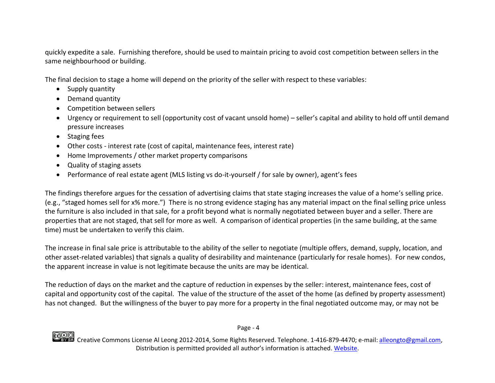quickly expedite a sale. Furnishing therefore, should be used to maintain pricing to avoid cost competition between sellers in the same neighbourhood or building.

The final decision to stage a home will depend on the priority of the seller with respect to these variables:

- Supply quantity
- Demand quantity
- Competition between sellers
- Urgency or requirement to sell (opportunity cost of vacant unsold home) seller's capital and ability to hold off until demand pressure increases
- Staging fees
- Other costs interest rate (cost of capital, maintenance fees, interest rate)
- Home Improvements / other market property comparisons
- Quality of staging assets
- Performance of real estate agent (MLS listing vs do-it-yourself / for sale by owner), agent's fees

The findings therefore argues for the cessation of advertising claims that state staging increases the value of a home's selling price. (e.g., "staged homes sell for x% more.") There is no strong evidence staging has any material impact on the final selling price unless the furniture is also included in that sale, for a profit beyond what is normally negotiated between buyer and a seller. There are properties that are not staged, that sell for more as well. A comparison of identical properties (in the same building, at the same time) must be undertaken to verify this claim.

The increase in final sale price is attributable to the ability of the seller to negotiate (multiple offers, demand, supply, location, and other asset-related variables) that signals a quality of desirability and maintenance (particularly for resale homes). For new condos, the apparent increase in value is not legitimate because the units are may be identical.

The reduction of days on the market and the capture of reduction in expenses by the seller: interest, maintenance fees, cost of capital and opportunity cost of the capital. The value of the structure of the asset of the home (as defined by property assessment) has not changed. But the willingness of the buyer to pay more for a property in the final negotiated outcome may, or may not be

Page - 4

CCOO<br>Creative Commons License Al Leong 2012-2014, Some Rights Reserved. Telephone. 1-416-879-4470; e-mail: <u>alleongto@gmail.com</u>, Distribution is permitted provided all author's information is attached. [Website.](http://ow.ly/s39ok)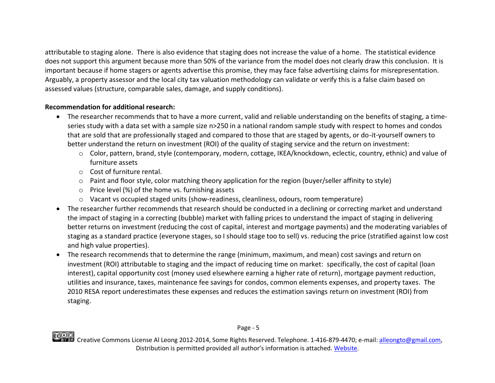attributable to staging alone. There is also evidence that staging does not increase the value of a home. The statistical evidence does not support this argument because more than 50% of the variance from the model does not clearly draw this conclusion. It is important because if home stagers or agents advertise this promise, they may face false advertising claims for misrepresentation. Arguably, a property assessor and the local city tax valuation methodology can validate or verify this is a false claim based on assessed values (structure, comparable sales, damage, and supply conditions).

### **Recommendation for additional research:**

- The researcher recommends that to have a more current, valid and reliable understanding on the benefits of staging, a timeseries study with a data set with a sample size n>250 in a national random sample study with respect to homes and condos that are sold that are professionally staged and compared to those that are staged by agents, or do-it-yourself owners to better understand the return on investment (ROI) of the quality of staging service and the return on investment:
	- o Color, pattern, brand, style (contemporary, modern, cottage, IKEA/knockdown, eclectic, country, ethnic) and value of furniture assets
	- o Cost of furniture rental.
	- o Paint and floor style, color matching theory application for the region (buyer/seller affinity to style)
	- o Price level (%) of the home vs. furnishing assets
	- o Vacant vs occupied staged units (show-readiness, cleanliness, odours, room temperature)
- The researcher further recommends that research should be conducted in a declining or correcting market and understand the impact of staging in a correcting (bubble) market with falling prices to understand the impact of staging in delivering better returns on investment (reducing the cost of capital, interest and mortgage payments) and the moderating variables of staging as a standard practice (everyone stages, so I should stage too to sell) vs. reducing the price (stratified against low cost and high value properties).
- The research recommends that to determine the range (minimum, maximum, and mean) cost savings and return on investment (ROI) attributable to staging and the impact of reducing time on market: specifically, the cost of capital (loan interest), capital opportunity cost (money used elsewhere earning a higher rate of return), mortgage payment reduction, utilities and insurance, taxes, maintenance fee savings for condos, common elements expenses, and property taxes. The 2010 RESA report underestimates these expenses and reduces the estimation savings return on investment (ROI) from staging.

COOO<br>Creative Commons License Al Leong 2012-2014, Some Rights Reserved. Telephone. 1-416-879-4470; e-mail: <u>alleongto@gmail.com</u>, Distribution is permitted provided all author's information is attached. [Website.](http://ow.ly/s39ok)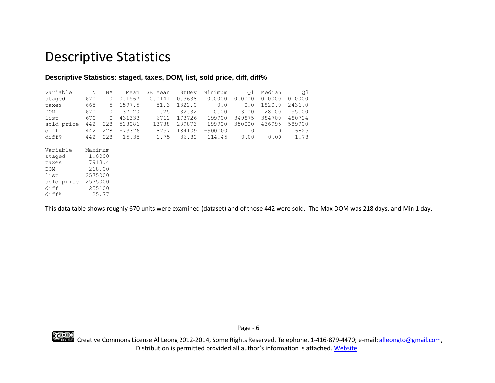## <span id="page-8-0"></span>Descriptive Statistics

### **Descriptive Statistics: staged, taxes, DOM, list, sold price, diff, diff%**

| Variable   | Ν       | $N^{\star}$ | Mean     | SE Mean | StDev  | Minimum   | Q1     | Median | Q3     |
|------------|---------|-------------|----------|---------|--------|-----------|--------|--------|--------|
| staged     | 670     | 0           | 0.1567   | 0.0141  | 0.3638 | 0.0000    | 0.0000 | 0.0000 | 0.0000 |
| taxes      | 665     | 5           | 1597.5   | 51.3    | 1322.0 | 0.0       | 0.0    | 1820.0 | 2436.0 |
| <b>DOM</b> | 670     | 0           | 37.20    | 1.25    | 32.32  | 0.00      | 13.00  | 28.00  | 55.00  |
| list       | 670     | $\circ$     | 431333   | 6712    | 173726 | 199900    | 349875 | 384700 | 480724 |
| sold price | 442     | 228         | 518086   | 13788   | 289873 | 199900    | 350000 | 436995 | 589900 |
| diff       | 442     | 228         | $-73376$ | 8757    | 184109 | $-900000$ | 0      | 0      | 6825   |
| diff%      | 442     | 228         | $-15.35$ | 1.75    | 36.82  | $-114.45$ | 0.00   | 0.00   | 1.78   |
| Variable   | Maximum |             |          |         |        |           |        |        |        |
|            |         |             |          |         |        |           |        |        |        |
| staged     |         | 1,0000      |          |         |        |           |        |        |        |
| taxes      |         | 7913.4      |          |         |        |           |        |        |        |
| DOM        |         | 218.00      |          |         |        |           |        |        |        |
| list       | 2575000 |             |          |         |        |           |        |        |        |

This data table shows roughly 670 units were examined (dataset) and of those 442 were sold. The Max DOM was 218 days, and Min 1 day.



sold price 2575000 diff 255100 diff% 25.77

> CCOO<br>Creative Commons License Al Leong 2012-2014, Some Rights Reserved. Telephone. 1-416-879-4470; e-mail: [alleongto@gmail.com,](mailto:alleongto@gmail.com) Distribution is permitted provided all author's information is attached. [Website.](http://ow.ly/s39ok)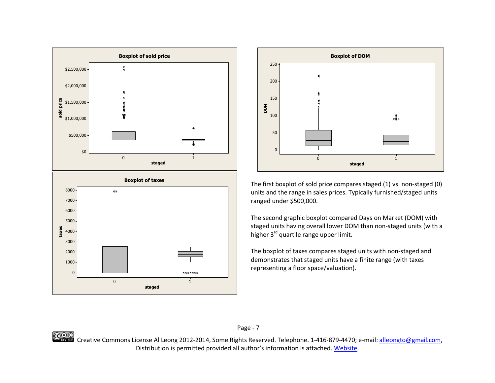



The first boxplot of sold price compares staged (1) vs. non-staged (0) units and the range in sales prices. Typically furnished/staged units ranged under \$500,000.

The second graphic boxplot compared Days on Market (DOM) with staged units having overall lower DOM than non-staged units (with a higher 3<sup>rd</sup> quartile range upper limit.

The boxplot of taxes compares staged units with non-staged and demonstrates that staged units have a finite range (with taxes representing a floor space/valuation).



Page - 7

CCOO<br>Creative Commons License Al Leong 2012-2014, Some Rights Reserved. Telephone. 1-416-879-4470; e-mail: [alleongto@gmail.com,](mailto:alleongto@gmail.com) Distribution is permitted provided all author's information is attached. [Website.](http://ow.ly/s39ok)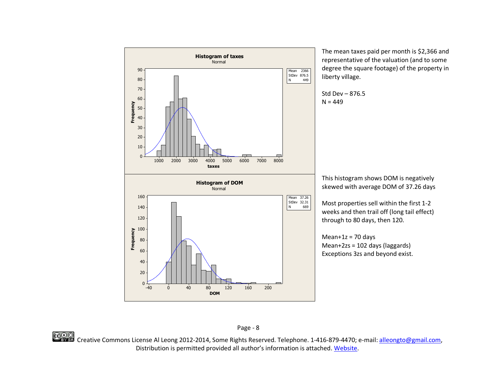

The mean taxes paid per month is \$2,366 and representative of the valuation (and to some degree the square footage) of the property in

This histogram shows DOM is negatively skewed with average DOM of 37.26 days

Most properties sell within the first 1-2 weeks and then trail off (long tail effect)

CCOO<br>Creative Commons License Al Leong 2012-2014, Some Rights Reserved. Telephone. 1-416-879-4470; e-mail: [alleongto@gmail.com,](mailto:alleongto@gmail.com) Distribution is permitted provided all author's information is attached. [Website.](http://ow.ly/s39ok)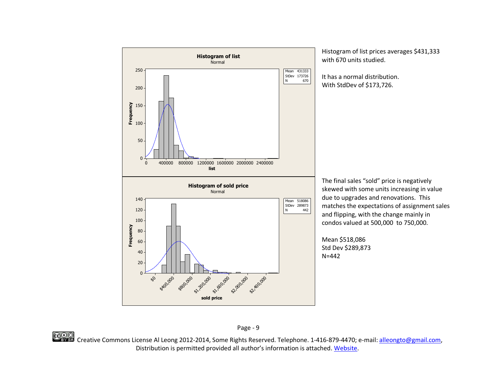

Histogram of list prices averages \$431,333 with 670 units studied.

It has a normal distribution. With StdDev of \$173,726.

The final sales "sold" price is negatively skewed with some units increasing in value due to upgrades and renovations. This matches the expectations of assignment sales and flipping, with the change mainly in condos valued at 500,000 to 750,000.

Mean \$518,086 Std Dev \$289,873 N=442



CCOO<br>Creative Commons License Al Leong 2012-2014, Some Rights Reserved. Telephone. 1-416-879-4470; e-mail: [alleongto@gmail.com,](mailto:alleongto@gmail.com) Distribution is permitted provided all author's information is attached. [Website.](http://ow.ly/s39ok)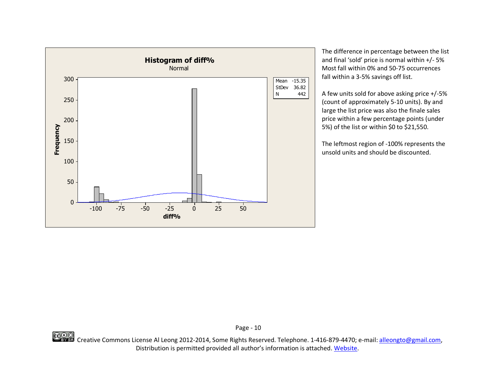

The difference in percentage between the list and final 'sold' price is normal within +/- 5% Most fall within 0% and 50-75 occurrences fall within a 3-5% savings off list.

A few units sold for above asking price +/-5% (count of approximately 5-10 units). By and large the list price was also the finale sales price within a few percentage points (under 5%) of the list or within \$0 to \$21,550.

The leftmost region of -100% represents the unsold units and should be discounted.

CCOO Creative Commons License Al Leong 2012-2014, Some Rights Reserved. Telephone. 1-416-879-4470; e-mail: [alleongto@gmail.com,](mailto:alleongto@gmail.com) Distribution is permitted provided all author's information is attached. [Website.](http://ow.ly/s39ok)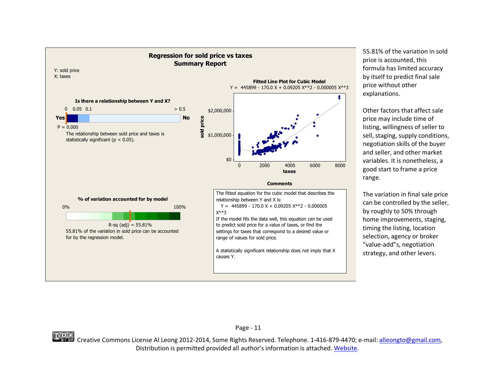

55.81% of the variation in sold price is accounted, this formula has limited accuracy by itself to predict final sale price without other explanations.

Other factors that affect sale price may include time of listing, willingness of seller to sell, staging, supply conditions, negotiation skills of the buyer and seller, and other market variables. It is nonetheless, a good start to frame a price range.

The variation in final sale price can be controlled by the seller, by roughly to 50% through home improvements, staging, timing the listing, location selection, agency or broker "value-add"s, negotiation strategy, and other levers.



CCOO<br>Creative Commons License Al Leong 2012-2014, Some Rights Reserved. Telephone. 1-416-879-4470; e-mail: [alleongto@gmail.com,](mailto:alleongto@gmail.com) Distribution is permitted provided all author's information is attached. [Website.](http://ow.ly/s39ok)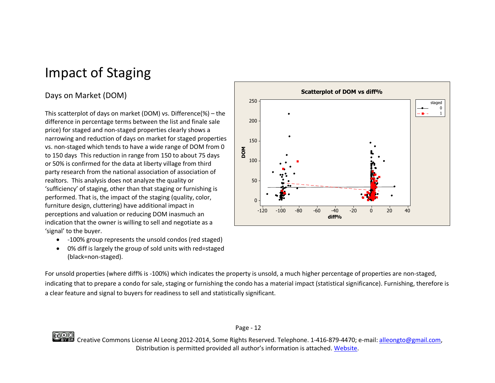# <span id="page-14-0"></span>Impact of Staging

### <span id="page-14-1"></span>Days on Market (DOM)

This scatterplot of days on market (DOM) vs. Difference(%) – the difference in percentage terms between the list and finale sale price) for staged and non-staged properties clearly shows a narrowing and reduction of days on market for staged properties vs. non-staged which tends to have a wide range of DOM from 0 to 150 days This reduction in range from 150 to about 75 days or 50% is confirmed for the data at liberty village from third party research from the national association of association of realtors. This analysis does not analyze the quality or 'sufficiency' of staging, other than that staging or furnishing is performed. That is, the impact of the staging (quality, color, furniture design, cluttering) have additional impact in perceptions and valuation or reducing DOM inasmuch an indication that the owner is willing to sell and negotiate as a 'signal' to the buyer.

- -100% group represents the unsold condos (red staged)
- 0% diff is largely the group of sold units with red=staged (black=non-staged).

-120 -100 -80 -60 -40 -20 0 20 40 250 200 150 100 50  $\Omega$ **diff% DOM**  $\Omega$ 1 staged **Scatterplot of DOM vs diff%**

For unsold properties (where diff% is -100%) which indicates the property is unsold, a much higher percentage of properties are non-staged, indicating that to prepare a condo for sale, staging or furnishing the condo has a material impact (statistical significance). Furnishing, therefore is a clear feature and signal to buyers for readiness to sell and statistically significant.

Page - 12

CCOO<br>Creative Commons License Al Leong 2012-2014, Some Rights Reserved. Telephone. 1-416-879-4470; e-mail: <u>alleongto@gmail.com</u>, Distribution is permitted provided all author's information is attached. [Website.](http://ow.ly/s39ok)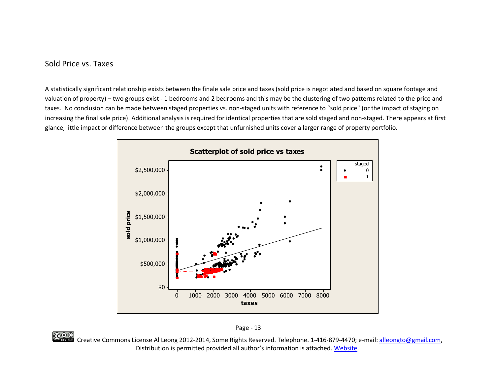### <span id="page-15-0"></span>Sold Price vs. Taxes

A statistically significant relationship exists between the finale sale price and taxes (sold price is negotiated and based on square footage and valuation of property) – two groups exist - 1 bedrooms and 2 bedrooms and this may be the clustering of two patterns related to the price and taxes. No conclusion can be made between staged properties vs. non-staged units with reference to "sold price" (or the impact of staging on increasing the final sale price). Additional analysis is required for identical properties that are sold staged and non-staged. There appears at first glance, little impact or difference between the groups except that unfurnished units cover a larger range of property portfolio.





CCOO<br>Creative Commons License Al Leong 2012-2014, Some Rights Reserved. Telephone. 1-416-879-4470; e-mail: <u>alleongto@gmail.com</u>, Distribution is permitted provided all author's information is attached. [Website.](http://ow.ly/s39ok)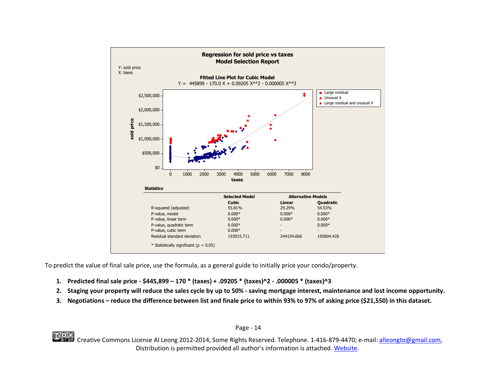

To predict the value of final sale price, use the formula, as a general guide to initially price your condo/property.

- **1. Predicted final sale price - \$445,899 – 170 \* (taxes) + .09205 \* (taxes)^2 - .000005 \* (taxes)^3**
- **2. Staging your property will reduce the sales cycle by up to 50% - saving mortgage interest, maintenance and lost income opportunity.**
- **3. Negotiations – reduce the difference between list and finale price to within 93% to 97% of asking price (\$21,550) in this dataset.**

Page - 14

CCOO<br>Creative Commons License Al Leong 2012-2014, Some Rights Reserved. Telephone. 1-416-879-4470; e-mail: [alleongto@gmail.com,](mailto:alleongto@gmail.com) Distribution is permitted provided all author's information is attached. [Website.](http://ow.ly/s39ok)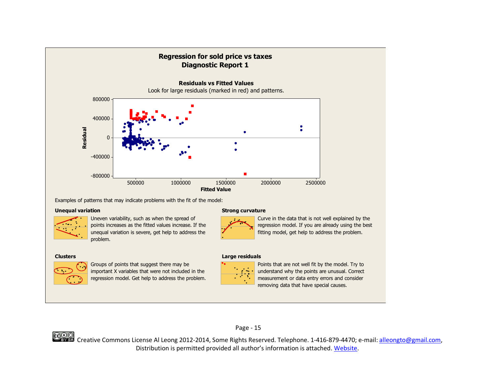

Examples of patterns that may indicate problems with the fit of the model:

#### **Unequal variation**



problem. unequal variation is severe, get help to address the points increases as the fitted values increase. If the Uneven variability, such as when the spread of

#### **Clusters**



regression model. Get help to address the problem. important X variables that were not included in the Groups of points that suggest there may be

#### **Strong curvature**



fitting model, get help to address the problem. regression model. If you are already using the best Curve in the data that is not well explained by the

#### **Large residuals**



removing data that have special causes. measurement or data entry errors and consider understand why the points are unusual. Correct Points that are not well fit by the model. Try to



CCOO<br>Creative Commons License Al Leong 2012-2014, Some Rights Reserved. Telephone. 1-416-879-4470; e-mail: [alleongto@gmail.com,](mailto:alleongto@gmail.com) Distribution is permitted provided all author's information is attached. [Website.](http://ow.ly/s39ok)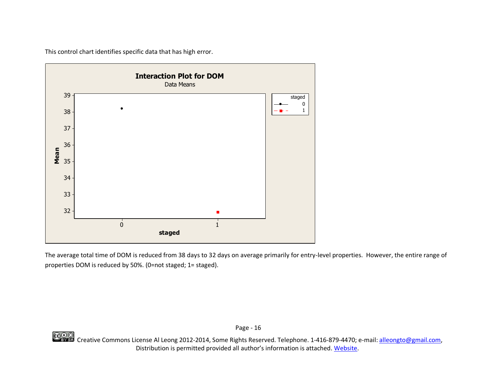This control chart identifies specific data that has high error.



The average total time of DOM is reduced from 38 days to 32 days on average primarily for entry-level properties. However, the entire range of properties DOM is reduced by 50%. (0=not staged; 1= staged).

CCOO<br>Creative Commons License Al Leong 2012-2014, Some Rights Reserved. Telephone. 1-416-879-4470; e-mail: [alleongto@gmail.com,](mailto:alleongto@gmail.com) Distribution is permitted provided all author's information is attached. [Website.](http://ow.ly/s39ok)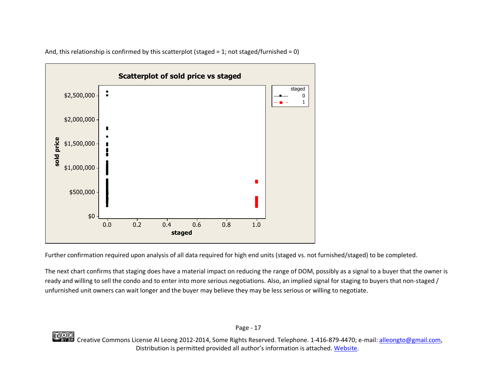

And, this relationship is confirmed by this scatterplot (staged = 1; not staged/furnished = 0)

Further confirmation required upon analysis of all data required for high end units (staged vs. not furnished/staged) to be completed.

The next chart confirms that staging does have a material impact on reducing the range of DOM, possibly as a signal to a buyer that the owner is ready and willing to sell the condo and to enter into more serious negotiations. Also, an implied signal for staging to buyers that non-staged / unfurnished unit owners can wait longer and the buyer may believe they may be less serious or willing to negotiate.

Page - 17

CCOO<br>Creative Commons License Al Leong 2012-2014, Some Rights Reserved. Telephone. 1-416-879-4470; e-mail: <u>alleongto@gmail.com</u>, Distribution is permitted provided all author's information is attached. [Website.](http://ow.ly/s39ok)